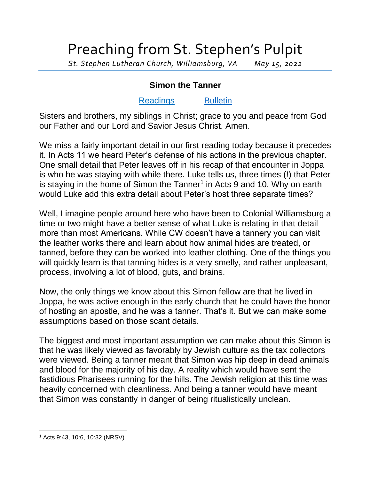## Preaching from St. Stephen's Pulpit

*St. Stephen Lutheran Church, Williamsburg, VA May 15, 2022*

## **Simon the Tanner**

## [Readings](https://lectionary.library.vanderbilt.edu/texts.php?id=137) [Bulletin](http://www.saintstephenlutheran.net/sunday-bulletins/)

Sisters and brothers, my siblings in Christ; grace to you and peace from God our Father and our Lord and Savior Jesus Christ. Amen.

We miss a fairly important detail in our first reading today because it precedes it. In Acts 11 we heard Peter's defense of his actions in the previous chapter. One small detail that Peter leaves off in his recap of that encounter in Joppa is who he was staying with while there. Luke tells us, three times (!) that Peter is staying in the home of Simon the Tanner<sup>1</sup> in Acts 9 and 10. Why on earth would Luke add this extra detail about Peter's host three separate times?

Well, I imagine people around here who have been to Colonial Williamsburg a time or two might have a better sense of what Luke is relating in that detail more than most Americans. While CW doesn't have a tannery you can visit the leather works there and learn about how animal hides are treated, or tanned, before they can be worked into leather clothing. One of the things you will quickly learn is that tanning hides is a very smelly, and rather unpleasant, process, involving a lot of blood, guts, and brains.

Now, the only things we know about this Simon fellow are that he lived in Joppa, he was active enough in the early church that he could have the honor of hosting an apostle, and he was a tanner. That's it. But we can make some assumptions based on those scant details.

The biggest and most important assumption we can make about this Simon is that he was likely viewed as favorably by Jewish culture as the tax collectors were viewed. Being a tanner meant that Simon was hip deep in dead animals and blood for the majority of his day. A reality which would have sent the fastidious Pharisees running for the hills. The Jewish religion at this time was heavily concerned with cleanliness. And being a tanner would have meant that Simon was constantly in danger of being ritualistically unclean.

<sup>1</sup> Acts 9:43, 10:6, 10:32 (NRSV)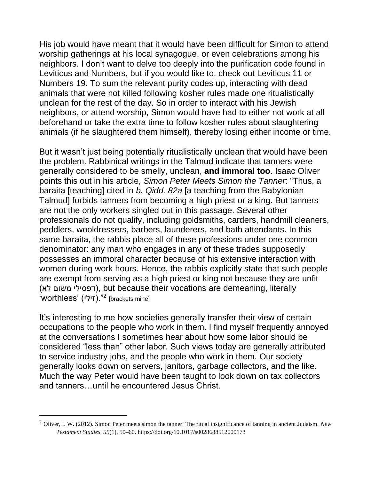His job would have meant that it would have been difficult for Simon to attend worship gatherings at his local synagogue, or even celebrations among his neighbors. I don't want to delve too deeply into the purification code found in Leviticus and Numbers, but if you would like to, check out Leviticus 11 or Numbers 19. To sum the relevant purity codes up, interacting with dead animals that were not killed following kosher rules made one ritualistically unclean for the rest of the day. So in order to interact with his Jewish neighbors, or attend worship, Simon would have had to either not work at all beforehand or take the extra time to follow kosher rules about slaughtering animals (if he slaughtered them himself), thereby losing either income or time.

But it wasn't just being potentially ritualistically unclean that would have been the problem. Rabbinical writings in the Talmud indicate that tanners were generally considered to be smelly, unclean, **and immoral too**. Isaac Oliver points this out in his article, *Simon Peter Meets Simon the Tanner*: "Thus, a baraita [teaching] cited in *b. Qidd. 82a* [a teaching from the Babylonian Talmud] forbids tanners from becoming a high priest or a king. But tanners are not the only workers singled out in this passage. Several other professionals do not qualify, including goldsmiths, carders, handmill cleaners, peddlers, wooldressers, barbers, launderers, and bath attendants. In this same baraita, the rabbis place all of these professions under one common denominator: any man who engages in any of these trades supposedly possesses an immoral character because of his extensive interaction with women during work hours. Hence, the rabbis explicitly state that such people are exempt from serving as a high priest or king not because they are unfit (דפסילי משום לא), but because their vocations are demeaning, literally <sup>2</sup>".(זילי) 'worthless' [brackets mine]

It's interesting to me how societies generally transfer their view of certain occupations to the people who work in them. I find myself frequently annoyed at the conversations I sometimes hear about how some labor should be considered "less than" other labor. Such views today are generally attributed to service industry jobs, and the people who work in them. Our society generally looks down on servers, janitors, garbage collectors, and the like. Much the way Peter would have been taught to look down on tax collectors and tanners…until he encountered Jesus Christ.

<sup>2</sup> Oliver, I. W. (2012). Simon Peter meets simon the tanner: The ritual insignificance of tanning in ancient Judaism. *New Testament Studies*, *59*(1), 50–60. https://doi.org/10.1017/s0028688512000173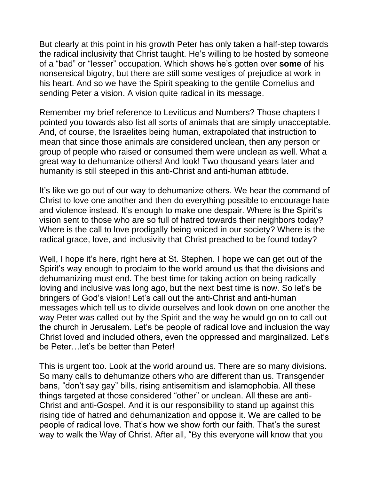But clearly at this point in his growth Peter has only taken a half-step towards the radical inclusivity that Christ taught. He's willing to be hosted by someone of a "bad" or "lesser" occupation. Which shows he's gotten over **some** of his nonsensical bigotry, but there are still some vestiges of prejudice at work in his heart. And so we have the Spirit speaking to the gentile Cornelius and sending Peter a vision. A vision quite radical in its message.

Remember my brief reference to Leviticus and Numbers? Those chapters I pointed you towards also list all sorts of animals that are simply unacceptable. And, of course, the Israelites being human, extrapolated that instruction to mean that since those animals are considered unclean, then any person or group of people who raised or consumed them were unclean as well. What a great way to dehumanize others! And look! Two thousand years later and humanity is still steeped in this anti-Christ and anti-human attitude.

It's like we go out of our way to dehumanize others. We hear the command of Christ to love one another and then do everything possible to encourage hate and violence instead. It's enough to make one despair. Where is the Spirit's vision sent to those who are so full of hatred towards their neighbors today? Where is the call to love prodigally being voiced in our society? Where is the radical grace, love, and inclusivity that Christ preached to be found today?

Well, I hope it's here, right here at St. Stephen. I hope we can get out of the Spirit's way enough to proclaim to the world around us that the divisions and dehumanizing must end. The best time for taking action on being radically loving and inclusive was long ago, but the next best time is now. So let's be bringers of God's vision! Let's call out the anti-Christ and anti-human messages which tell us to divide ourselves and look down on one another the way Peter was called out by the Spirit and the way he would go on to call out the church in Jerusalem. Let's be people of radical love and inclusion the way Christ loved and included others, even the oppressed and marginalized. Let's be Peter…let's be better than Peter!

This is urgent too. Look at the world around us. There are so many divisions. So many calls to dehumanize others who are different than us. Transgender bans, "don't say gay" bills, rising antisemitism and islamophobia. All these things targeted at those considered "other" or unclean. All these are anti-Christ and anti-Gospel. And it is our responsibility to stand up against this rising tide of hatred and dehumanization and oppose it. We are called to be people of radical love. That's how we show forth our faith. That's the surest way to walk the Way of Christ. After all, "By this everyone will know that you